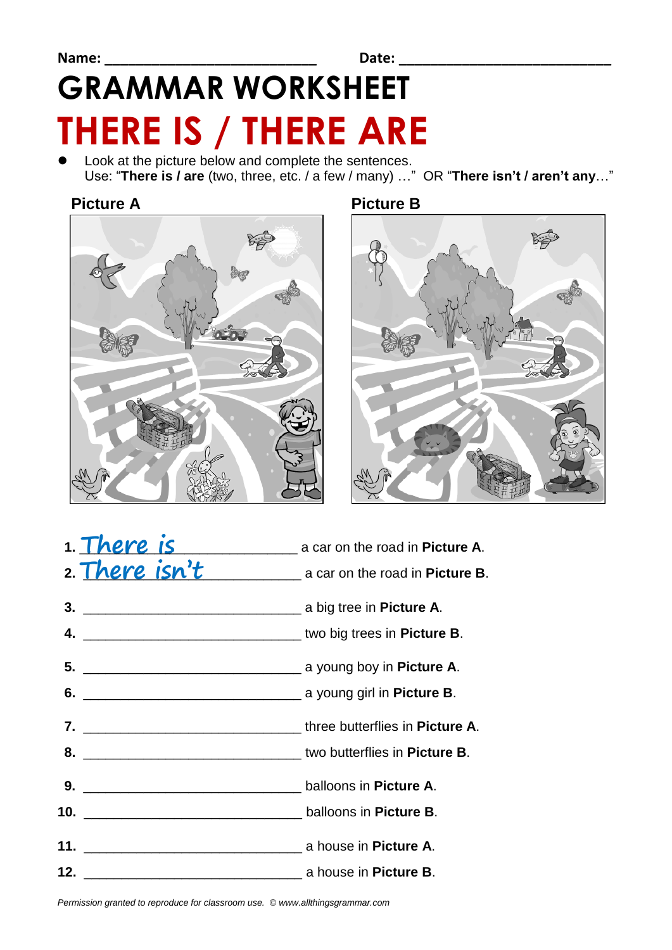# **GRAMMAR WORKSHEET THERE IS / THERE ARE**

 Look at the picture below and complete the sentences. Use: "**There is / are** (two, three, etc. / a few / many) …" OR "**There isn't / aren't any**…"

#### **Picture A Picture B**





| 1. There is    | a car on the road in <b>Picture A</b> . |
|----------------|-----------------------------------------|
| 2. There isn't | a car on the road in <b>Picture B</b> . |
|                |                                         |
|                |                                         |
|                |                                         |
|                |                                         |
|                |                                         |
|                |                                         |
|                |                                         |
|                |                                         |
|                |                                         |
|                |                                         |

*Permission granted to reproduce for classroom use. © www.allthingsgrammar.com*